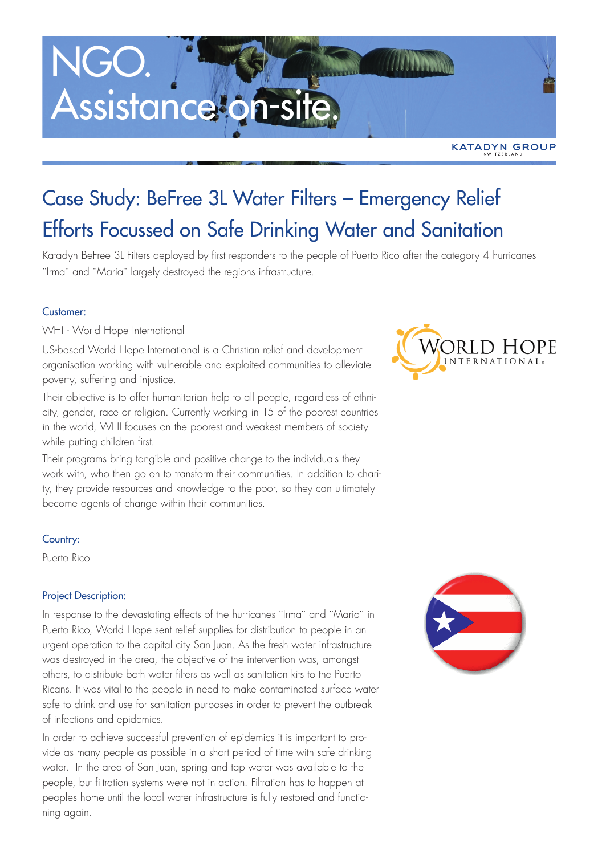### Case Study: BeFree 3L Water Filters – Emergency Relief Efforts Focussed on Safe Drinking Water and Sanitation

Katadyn BeFree 3L Filters deployed by first responders to the people of Puerto Rico after the category 4 hurricanes ¨Irma¨ and ¨Maria¨ largely destroyed the regions infrastructure.

#### Customer:

WHI - World Hope International

US-based World Hope International is a Christian relief and development organisation working with vulnerable and exploited communities to alleviate poverty, suffering and injustice.

Their objective is to offer humanitarian help to all people, regardless of ethnicity, gender, race or religion. Currently working in 15 of the poorest countries in the world, WHI focuses on the poorest and weakest members of society while putting children first.

Their programs bring tangible and positive change to the individuals they work with, who then go on to transform their communities. In addition to charity, they provide resources and knowledge to the poor, so they can ultimately become agents of change within their communities.

#### Country:

Puerto Rico

#### Project Description:

In response to the devastating effects of the hurricanes "Irma" and "Maria" in Puerto Rico, World Hope sent relief supplies for distribution to people in an urgent operation to the capital city San Juan. As the fresh water infrastructure was destroyed in the area, the objective of the intervention was, amongst others, to distribute both water filters as well as sanitation kits to the Puerto Ricans. It was vital to the people in need to make contaminated surface water safe to drink and use for sanitation purposes in order to prevent the outbreak of infections and epidemics.

In order to achieve successful prevention of epidemics it is important to provide as many people as possible in a short period of time with safe drinking water. In the area of San Juan, spring and tap water was available to the people, but filtration systems were not in action. Filtration has to happen at peoples home until the local water infrastructure is fully restored and functioning again.



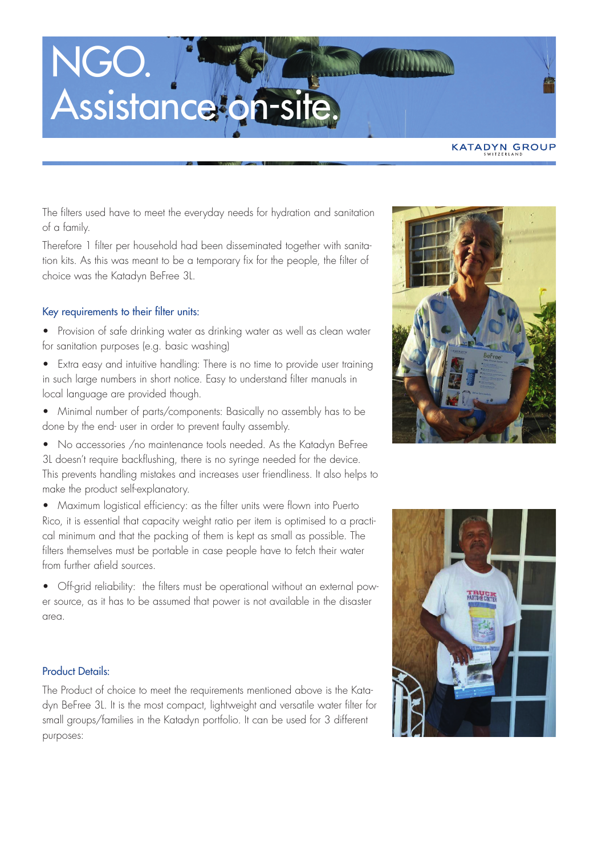**KATADYN GROUP** 

The filters used have to meet the everyday needs for hydration and sanitation of a family.

Therefore 1 filter per household had been disseminated together with sanitation kits. As this was meant to be a temporary fix for the people, the filter of choice was the Katadyn BeFree 3L.

#### Key requirements to their filter units:

- Provision of safe drinking water as drinking water as well as clean water for sanitation purposes (e.g. basic washing)
- Extra easy and intuitive handling: There is no time to provide user training in such large numbers in short notice. Easy to understand filter manuals in local language are provided though.
- Minimal number of parts/components: Basically no assembly has to be done by the end- user in order to prevent faulty assembly.
- No accessories /no maintenance tools needed. As the Katadyn BeFree 3L doesn't require backflushing, there is no syringe needed for the device. This prevents handling mistakes and increases user friendliness. It also helps to make the product self-explanatory.
- Maximum logistical efficiency: as the filter units were flown into Puerto Rico, it is essential that capacity weight ratio per item is optimised to a practical minimum and that the packing of them is kept as small as possible. The filters themselves must be portable in case people have to fetch their water from further afield sources.
- Off-grid reliability: the filters must be operational without an external power source, as it has to be assumed that power is not available in the disaster area.

### Product Details:

The Product of choice to meet the requirements mentioned above is the Katadyn BeFree 3L. It is the most compact, lightweight and versatile water filter for small groups/families in the Katadyn portfolio. It can be used for 3 different purposes:



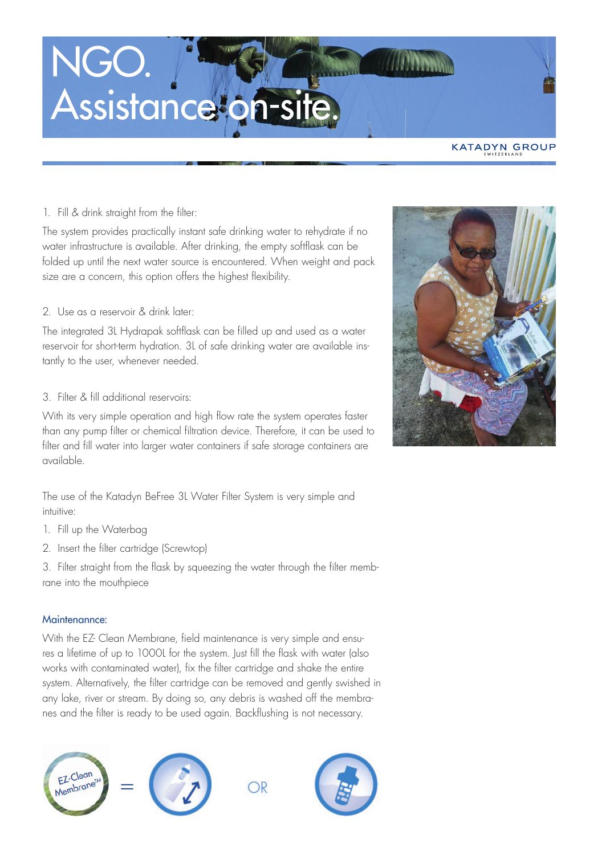**KATADYN GROUP** 

#### 1. Fill & drink straight from the filter:

The system provides practically instant safe drinking water to rehydrate if no water infrastructure is available. After drinking, the empty softflask can be folded up until the next water source is encountered. When weight and pack size are a concern, this option offers the highest flexibility.

#### 2. Use as a reservoir & drink later:

The integrated 3L Hydrapak softflask can be filled up and used as a water reservoir for short-term hydration. 3L of safe drinking water are available instantly to the user, whenever needed.

#### 3. Filter & fill additional reservoirs:

With its very simple operation and high flow rate the system operates faster than any pump filter or chemical filtration device. Therefore, it can be used to filter and fill water into larger water containers if safe storage containers are available.

The use of the Katadyn BeFree 3L Water Filter System is very simple and intuitive:

- 1. Fill up the Waterbag
- 2. Insert the filter cartridge (Screwtop)

3. Filter straight from the flask by squeezing the water through the filter membrane into the mouthpiece

#### Maintenannce:

With the EZ- Clean Membrane, field maintenance is very simple and ensures a lifetime of up to 1000L for the system. Just fill the flask with water (also works with contaminated water), fix the filter cartridge and shake the entire system. Alternatively, the filter cartridge can be removed and gently swished in any lake, river or stream. By doing so, any debris is washed off the membranes and the filter is ready to be used again. Backflushing is not necessary.